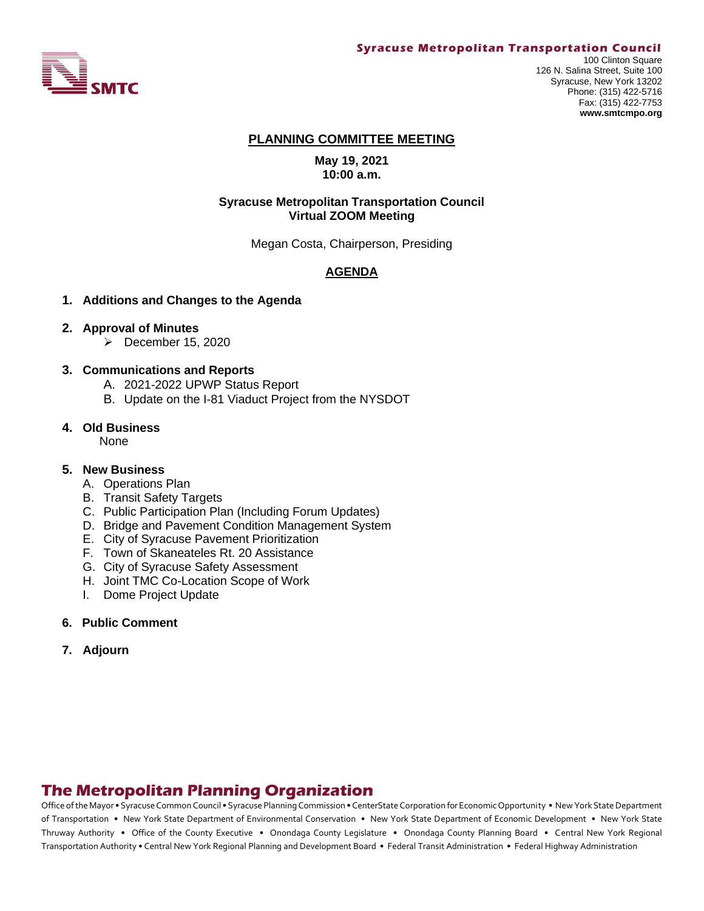

#### **Syracuse Metropolitan Transportation Council**

100 Clinton Square 126 N. Salina Street, Suite 100 Syracuse, New York 13202 Phone: (315) 422-5716 Fax: (315) 422-7753 **www.smtcmpo.org**

#### **PLANNING COMMITTEE MEETING**

**May 19, 2021 10:00 a.m.**

#### **Syracuse Metropolitan Transportation Council Virtual ZOOM Meeting**

Megan Costa, Chairperson, Presiding

#### **AGENDA**

#### **1. Additions and Changes to the Agenda**

#### **2. Approval of Minutes**

 $\triangleright$  December 15, 2020

#### **3. Communications and Reports**

- A. 2021-2022 UPWP Status Report
- B. Update on the I-81 Viaduct Project from the NYSDOT

#### **4. Old Business**

**None** 

#### **5. New Business**

- A. Operations Plan
- B. Transit Safety Targets
- C. Public Participation Plan (Including Forum Updates)
- D. Bridge and Pavement Condition Management System
- E. City of Syracuse Pavement Prioritization
- F. Town of Skaneateles Rt. 20 Assistance
- G. City of Syracuse Safety Assessment
- H. Joint TMC Co-Location Scope of Work
- I. Dome Project Update
- **6. Public Comment**
- **7. Adjourn**

# **The Metropolitan Planning Organization**

Office of the Mayor • Syracuse Common Council • Syracuse Planning Commission • CenterState Corporation for Economic Opportunity • New York State Department of Transportation • New York State Department of Environmental Conservation • New York State Department of Economic Development • New York State Thruway Authority • Office of the County Executive • Onondaga County Legislature • Onondaga County Planning Board • Central New York Regional Transportation Authority • Central New York Regional Planning and Development Board • Federal Transit Administration • Federal Highway Administration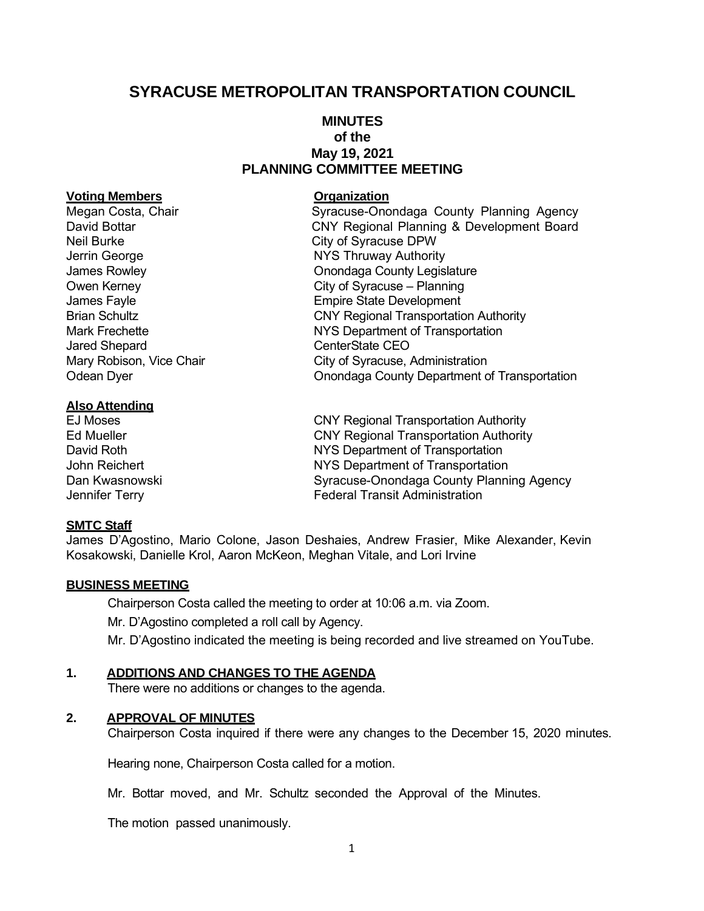# **SYRACUSE METROPOLITAN TRANSPORTATION COUNCIL**

### **MINUTES of the May 19, 2021 PLANNING COMMITTEE MEETING**

#### **Voting Members Organization**

Neil Burke City of Syracuse DPW Jared Shepard **CenterState CEO** 

#### **Also Attending**

### **SMTC Staff**

James D'Agostino, Mario Colone, Jason Deshaies, Andrew Frasier, Mike Alexander, Kevin Kosakowski, Danielle Krol, Aaron McKeon, Meghan Vitale, and Lori Irvine

#### **BUSINESS MEETING**

Chairperson Costa called the meeting to order at 10:06 a.m. via Zoom. Mr. D'Agostino completed a roll call by Agency. Mr. D'Agostino indicated the meeting is being recorded and live streamed on YouTube.

#### **1. ADDITIONS AND CHANGES TO THE AGENDA**

There were no additions or changes to the agenda.

#### **2. APPROVAL OF MINUTES**

Chairperson Costa inquired if there were any changes to the December 15, 2020 minutes.

Hearing none, Chairperson Costa called for a motion.

Mr. Bottar moved, and Mr. Schultz seconded the Approval of the Minutes.

The motion passed unanimously.

Megan Costa, Chair **Syracuse-Onondaga County Planning Agency** David Bottar CNY Regional Planning & Development Board Jerrin George **NYS Thruway Authority** James Rowley **County Legislature Onondaga County Legislature** Owen Kerney **City of Syracuse** – Planning James Fayle **Empire** State Development Brian Schultz **CNY Regional Transportation Authority** Mark Frechette NYS Department of Transportation Mary Robison, Vice Chair **City of Syracuse, Administration** Odean Dyer Onondaga County Department of Transportation

EJ Moses CNY Regional Transportation Authority Ed Mueller CNY Regional Transportation Authority David Roth NYS Department of Transportation John Reichert **NYS Department of Transportation** Dan Kwasnowski Syracuse-Onondaga County Planning Agency Jennifer Terry **Federal Transit Administration**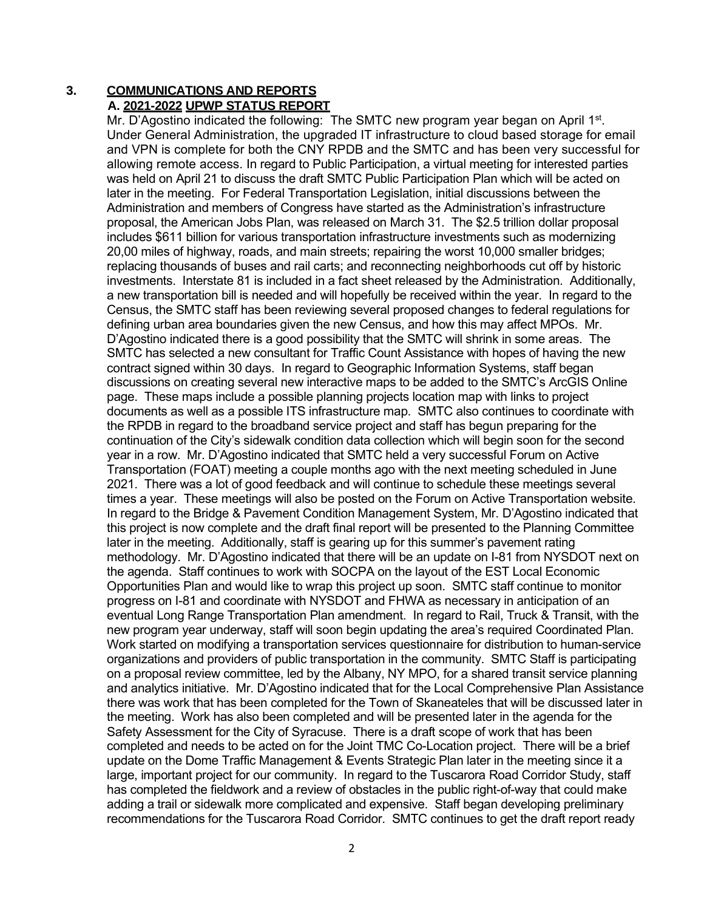### **3. COMMUNICATIONS AND REPORTS A. 2021-2022 UPWP STATUS REPORT**

Mr. D'Agostino indicated the following: The SMTC new program year began on April 1<sup>st</sup>. Under General Administration, the upgraded IT infrastructure to cloud based storage for email and VPN is complete for both the CNY RPDB and the SMTC and has been very successful for allowing remote access. In regard to Public Participation, a virtual meeting for interested parties was held on April 21 to discuss the draft SMTC Public Participation Plan which will be acted on later in the meeting. For Federal Transportation Legislation, initial discussions between the Administration and members of Congress have started as the Administration's infrastructure proposal, the American Jobs Plan, was released on March 31. The \$2.5 trillion dollar proposal includes \$611 billion for various transportation infrastructure investments such as modernizing 20,00 miles of highway, roads, and main streets; repairing the worst 10,000 smaller bridges; replacing thousands of buses and rail carts; and reconnecting neighborhoods cut off by historic investments. Interstate 81 is included in a fact sheet released by the Administration. Additionally, a new transportation bill is needed and will hopefully be received within the year. In regard to the Census, the SMTC staff has been reviewing several proposed changes to federal regulations for defining urban area boundaries given the new Census, and how this may affect MPOs. Mr. D'Agostino indicated there is a good possibility that the SMTC will shrink in some areas. The SMTC has selected a new consultant for Traffic Count Assistance with hopes of having the new contract signed within 30 days. In regard to Geographic Information Systems, staff began discussions on creating several new interactive maps to be added to the SMTC's ArcGIS Online page. These maps include a possible planning projects location map with links to project documents as well as a possible ITS infrastructure map. SMTC also continues to coordinate with the RPDB in regard to the broadband service project and staff has begun preparing for the continuation of the City's sidewalk condition data collection which will begin soon for the second year in a row. Mr. D'Agostino indicated that SMTC held a very successful Forum on Active Transportation (FOAT) meeting a couple months ago with the next meeting scheduled in June 2021. There was a lot of good feedback and will continue to schedule these meetings several times a year. These meetings will also be posted on the Forum on Active Transportation website. In regard to the Bridge & Pavement Condition Management System, Mr. D'Agostino indicated that this project is now complete and the draft final report will be presented to the Planning Committee later in the meeting. Additionally, staff is gearing up for this summer's pavement rating methodology. Mr. D'Agostino indicated that there will be an update on I-81 from NYSDOT next on the agenda. Staff continues to work with SOCPA on the layout of the EST Local Economic Opportunities Plan and would like to wrap this project up soon. SMTC staff continue to monitor progress on I-81 and coordinate with NYSDOT and FHWA as necessary in anticipation of an eventual Long Range Transportation Plan amendment. In regard to Rail, Truck & Transit, with the new program year underway, staff will soon begin updating the area's required Coordinated Plan. Work started on modifying a transportation services questionnaire for distribution to human-service organizations and providers of public transportation in the community. SMTC Staff is participating on a proposal review committee, led by the Albany, NY MPO, for a shared transit service planning and analytics initiative. Mr. D'Agostino indicated that for the Local Comprehensive Plan Assistance there was work that has been completed for the Town of Skaneateles that will be discussed later in the meeting. Work has also been completed and will be presented later in the agenda for the Safety Assessment for the City of Syracuse. There is a draft scope of work that has been completed and needs to be acted on for the Joint TMC Co-Location project. There will be a brief update on the Dome Traffic Management & Events Strategic Plan later in the meeting since it a large, important project for our community. In regard to the Tuscarora Road Corridor Study, staff has completed the fieldwork and a review of obstacles in the public right-of-way that could make adding a trail or sidewalk more complicated and expensive. Staff began developing preliminary recommendations for the Tuscarora Road Corridor. SMTC continues to get the draft report ready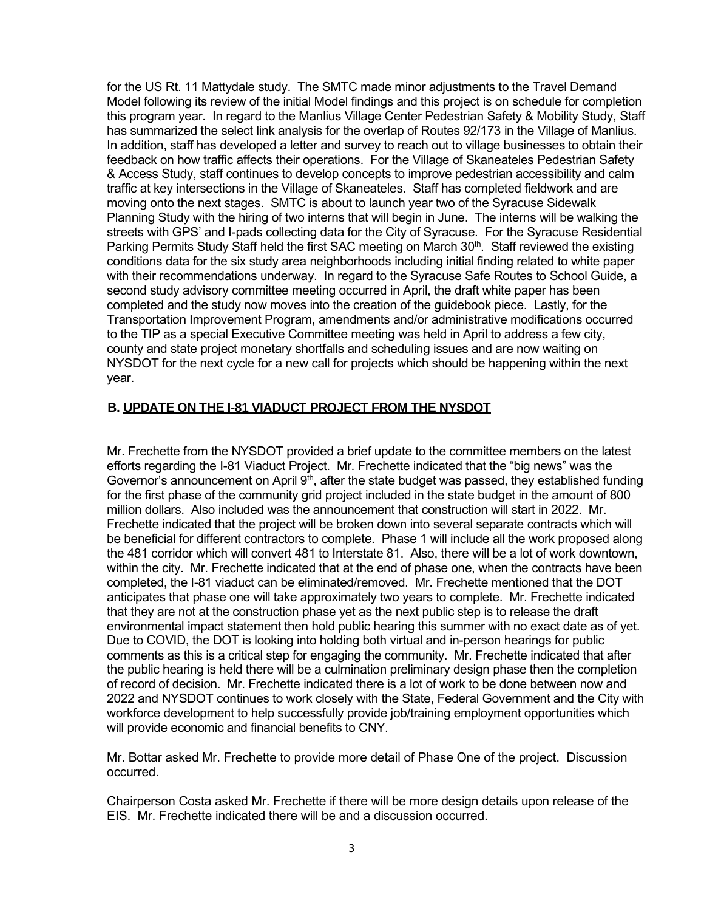for the US Rt. 11 Mattydale study. The SMTC made minor adjustments to the Travel Demand Model following its review of the initial Model findings and this project is on schedule for completion this program year. In regard to the Manlius Village Center Pedestrian Safety & Mobility Study, Staff has summarized the select link analysis for the overlap of Routes 92/173 in the Village of Manlius. In addition, staff has developed a letter and survey to reach out to village businesses to obtain their feedback on how traffic affects their operations. For the Village of Skaneateles Pedestrian Safety & Access Study, staff continues to develop concepts to improve pedestrian accessibility and calm traffic at key intersections in the Village of Skaneateles. Staff has completed fieldwork and are moving onto the next stages. SMTC is about to launch year two of the Syracuse Sidewalk Planning Study with the hiring of two interns that will begin in June. The interns will be walking the streets with GPS' and I-pads collecting data for the City of Syracuse. For the Syracuse Residential Parking Permits Study Staff held the first SAC meeting on March 30<sup>th</sup>. Staff reviewed the existing conditions data for the six study area neighborhoods including initial finding related to white paper with their recommendations underway. In regard to the Syracuse Safe Routes to School Guide, a second study advisory committee meeting occurred in April, the draft white paper has been completed and the study now moves into the creation of the guidebook piece. Lastly, for the Transportation Improvement Program, amendments and/or administrative modifications occurred to the TIP as a special Executive Committee meeting was held in April to address a few city, county and state project monetary shortfalls and scheduling issues and are now waiting on NYSDOT for the next cycle for a new call for projects which should be happening within the next year.

### **B. UPDATE ON THE I-81 VIADUCT PROJECT FROM THE NYSDOT**

Mr. Frechette from the NYSDOT provided a brief update to the committee members on the latest efforts regarding the I-81 Viaduct Project. Mr. Frechette indicated that the "big news" was the Governor's announcement on April  $9<sup>th</sup>$ , after the state budget was passed, they established funding for the first phase of the community grid project included in the state budget in the amount of 800 million dollars. Also included was the announcement that construction will start in 2022. Mr. Frechette indicated that the project will be broken down into several separate contracts which will be beneficial for different contractors to complete. Phase 1 will include all the work proposed along the 481 corridor which will convert 481 to Interstate 81. Also, there will be a lot of work downtown, within the city. Mr. Frechette indicated that at the end of phase one, when the contracts have been completed, the I-81 viaduct can be eliminated/removed. Mr. Frechette mentioned that the DOT anticipates that phase one will take approximately two years to complete. Mr. Frechette indicated that they are not at the construction phase yet as the next public step is to release the draft environmental impact statement then hold public hearing this summer with no exact date as of yet. Due to COVID, the DOT is looking into holding both virtual and in-person hearings for public comments as this is a critical step for engaging the community. Mr. Frechette indicated that after the public hearing is held there will be a culmination preliminary design phase then the completion of record of decision. Mr. Frechette indicated there is a lot of work to be done between now and 2022 and NYSDOT continues to work closely with the State, Federal Government and the City with workforce development to help successfully provide job/training employment opportunities which will provide economic and financial benefits to CNY.

Mr. Bottar asked Mr. Frechette to provide more detail of Phase One of the project. Discussion occurred.

Chairperson Costa asked Mr. Frechette if there will be more design details upon release of the EIS. Mr. Frechette indicated there will be and a discussion occurred.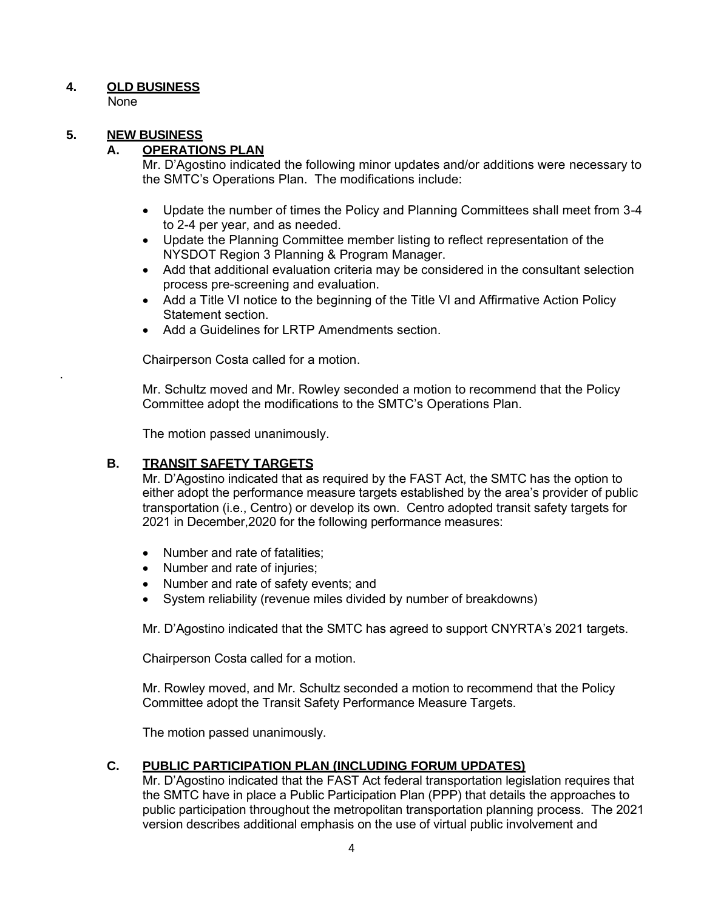## **4. OLD BUSINESS**

None

.

# **5. NEW BUSINESS**

### **A. OPERATIONS PLAN**

Mr. D'Agostino indicated the following minor updates and/or additions were necessary to the SMTC's Operations Plan. The modifications include:

- Update the number of times the Policy and Planning Committees shall meet from 3-4 to 2-4 per year, and as needed.
- Update the Planning Committee member listing to reflect representation of the NYSDOT Region 3 Planning & Program Manager.
- Add that additional evaluation criteria may be considered in the consultant selection process pre-screening and evaluation.
- Add a Title VI notice to the beginning of the Title VI and Affirmative Action Policy Statement section.
- Add a Guidelines for LRTP Amendments section.

Chairperson Costa called for a motion.

Mr. Schultz moved and Mr. Rowley seconded a motion to recommend that the Policy Committee adopt the modifications to the SMTC's Operations Plan.

The motion passed unanimously.

### **B. TRANSIT SAFETY TARGETS**

Mr. D'Agostino indicated that as required by the FAST Act, the SMTC has the option to either adopt the performance measure targets established by the area's provider of public transportation (i.e., Centro) or develop its own. Centro adopted transit safety targets for 2021 in December,2020 for the following performance measures:

- Number and rate of fatalities:
- Number and rate of injuries;
- Number and rate of safety events; and
- System reliability (revenue miles divided by number of breakdowns)

Mr. D'Agostino indicated that the SMTC has agreed to support CNYRTA's 2021 targets.

Chairperson Costa called for a motion.

Mr. Rowley moved, and Mr. Schultz seconded a motion to recommend that the Policy Committee adopt the Transit Safety Performance Measure Targets.

The motion passed unanimously.

### **C. PUBLIC PARTICIPATION PLAN (INCLUDING FORUM UPDATES)**

Mr. D'Agostino indicated that the FAST Act federal transportation legislation requires that the SMTC have in place a Public Participation Plan (PPP) that details the approaches to public participation throughout the metropolitan transportation planning process. The 2021 version describes additional emphasis on the use of virtual public involvement and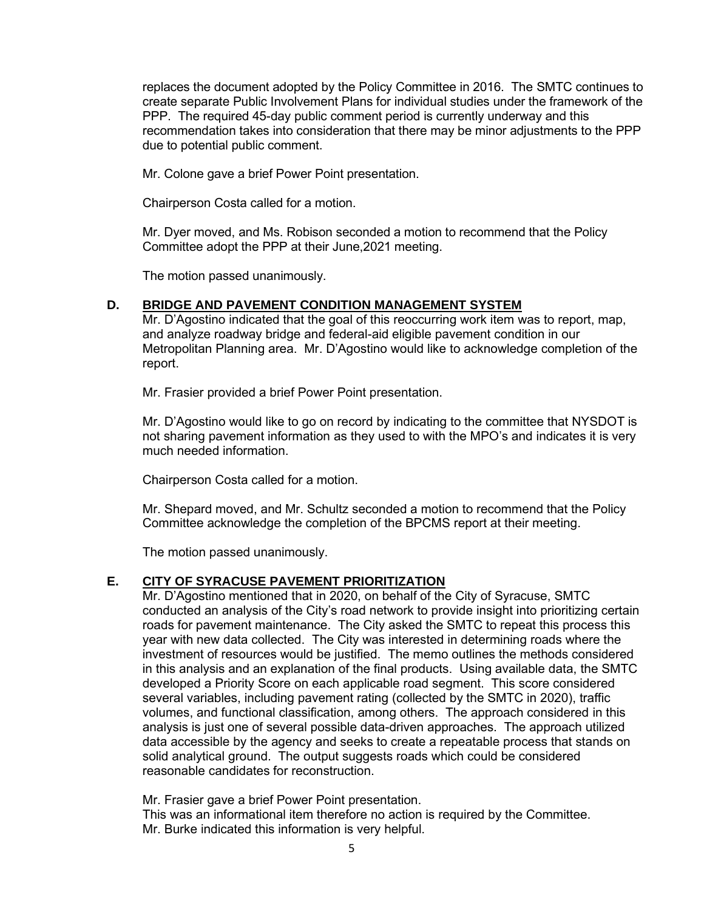replaces the document adopted by the Policy Committee in 2016. The SMTC continues to create separate Public Involvement Plans for individual studies under the framework of the PPP. The required 45-day public comment period is currently underway and this recommendation takes into consideration that there may be minor adjustments to the PPP due to potential public comment.

Mr. Colone gave a brief Power Point presentation.

Chairperson Costa called for a motion.

Mr. Dyer moved, and Ms. Robison seconded a motion to recommend that the Policy Committee adopt the PPP at their June,2021 meeting.

The motion passed unanimously.

### **D. BRIDGE AND PAVEMENT CONDITION MANAGEMENT SYSTEM**

Mr. D'Agostino indicated that the goal of this reoccurring work item was to report, map, and analyze roadway bridge and federal-aid eligible pavement condition in our Metropolitan Planning area. Mr. D'Agostino would like to acknowledge completion of the report.

Mr. Frasier provided a brief Power Point presentation.

Mr. D'Agostino would like to go on record by indicating to the committee that NYSDOT is not sharing pavement information as they used to with the MPO's and indicates it is very much needed information.

Chairperson Costa called for a motion.

Mr. Shepard moved, and Mr. Schultz seconded a motion to recommend that the Policy Committee acknowledge the completion of the BPCMS report at their meeting.

The motion passed unanimously.

### **E. CITY OF SYRACUSE PAVEMENT PRIORITIZATION**

Mr. D'Agostino mentioned that in 2020, on behalf of the City of Syracuse, SMTC conducted an analysis of the City's road network to provide insight into prioritizing certain roads for pavement maintenance. The City asked the SMTC to repeat this process this year with new data collected. The City was interested in determining roads where the investment of resources would be justified. The memo outlines the methods considered in this analysis and an explanation of the final products. Using available data, the SMTC developed a Priority Score on each applicable road segment. This score considered several variables, including pavement rating (collected by the SMTC in 2020), traffic volumes, and functional classification, among others. The approach considered in this analysis is just one of several possible data-driven approaches. The approach utilized data accessible by the agency and seeks to create a repeatable process that stands on solid analytical ground. The output suggests roads which could be considered reasonable candidates for reconstruction.

Mr. Frasier gave a brief Power Point presentation. This was an informational item therefore no action is required by the Committee. Mr. Burke indicated this information is very helpful.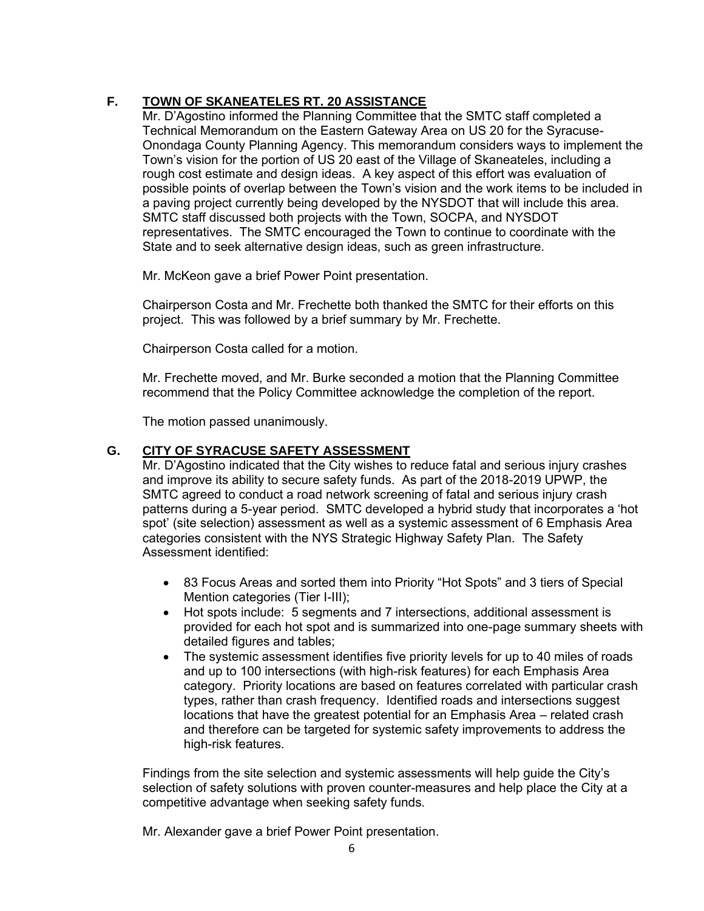# **F. TOWN OF SKANEATELES RT. 20 ASSISTANCE**

Mr. D'Agostino informed the Planning Committee that the SMTC staff completed a Technical Memorandum on the Eastern Gateway Area on US 20 for the Syracuse-Onondaga County Planning Agency. This memorandum considers ways to implement the Town's vision for the portion of US 20 east of the Village of Skaneateles, including a rough cost estimate and design ideas. A key aspect of this effort was evaluation of possible points of overlap between the Town's vision and the work items to be included in a paving project currently being developed by the NYSDOT that will include this area. SMTC staff discussed both projects with the Town, SOCPA, and NYSDOT representatives. The SMTC encouraged the Town to continue to coordinate with the State and to seek alternative design ideas, such as green infrastructure.

Mr. McKeon gave a brief Power Point presentation.

Chairperson Costa and Mr. Frechette both thanked the SMTC for their efforts on this project. This was followed by a brief summary by Mr. Frechette.

Chairperson Costa called for a motion.

Mr. Frechette moved, and Mr. Burke seconded a motion that the Planning Committee recommend that the Policy Committee acknowledge the completion of the report.

The motion passed unanimously.

### **G. CITY OF SYRACUSE SAFETY ASSESSMENT**

Mr. D'Agostino indicated that the City wishes to reduce fatal and serious injury crashes and improve its ability to secure safety funds. As part of the 2018-2019 UPWP, the SMTC agreed to conduct a road network screening of fatal and serious injury crash patterns during a 5-year period. SMTC developed a hybrid study that incorporates a 'hot spot' (site selection) assessment as well as a systemic assessment of 6 Emphasis Area categories consistent with the NYS Strategic Highway Safety Plan. The Safety Assessment identified:

- 83 Focus Areas and sorted them into Priority "Hot Spots" and 3 tiers of Special Mention categories (Tier I-III);
- Hot spots include: 5 segments and 7 intersections, additional assessment is provided for each hot spot and is summarized into one-page summary sheets with detailed figures and tables;
- The systemic assessment identifies five priority levels for up to 40 miles of roads and up to 100 intersections (with high-risk features) for each Emphasis Area category. Priority locations are based on features correlated with particular crash types, rather than crash frequency. Identified roads and intersections suggest locations that have the greatest potential for an Emphasis Area – related crash and therefore can be targeted for systemic safety improvements to address the high-risk features.

Findings from the site selection and systemic assessments will help guide the City's selection of safety solutions with proven counter-measures and help place the City at a competitive advantage when seeking safety funds.

Mr. Alexander gave a brief Power Point presentation.